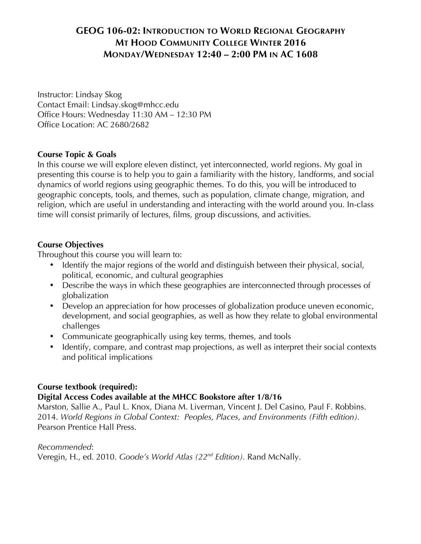# **GEOG 106-02: INTRODUCTION TO WORLD REGIONAL GEOGRAPHY MT HOOD COMMUNITY COLLEGE WINTER 2016 MONDAY/WEDNESDAY 12:40 – 2:00 PM IN AC 1608**

Instructor: Lindsay Skog Contact Email: Lindsay.skog@mhcc.edu Office Hours: Wednesday 11:30 AM – 12:30 PM Office Location: AC 2680/2682

## **Course Topic & Goals**

In this course we will explore eleven distinct, yet interconnected, world regions. My goal in presenting this course is to help you to gain a familiarity with the history, landforms, and social dynamics of world regions using geographic themes. To do this, you will be introduced to geographic concepts, tools, and themes, such as population, climate change, migration, and religion, which are useful in understanding and interacting with the world around you. In-class time will consist primarily of lectures, films, group discussions, and activities.

### **Course Objectives**

Throughout this course you will learn to:

- Identify the major regions of the world and distinguish between their physical, social, political, economic, and cultural geographies
- Describe the ways in which these geographies are interconnected through processes of globalization
- Develop an appreciation for how processes of globalization produce uneven economic, development, and social geographies, as well as how they relate to global environmental challenges
- Communicate geographically using key terms, themes, and tools
- Identify, compare, and contrast map projections, as well as interpret their social contexts and political implications

### **Course textbook (required):**

### **Digital Access Codes available at the MHCC Bookstore after 1/8/16**

Marston, Sallie A., Paul L. Knox, Diana M. Liverman, Vincent J. Del Casino, Paul F. Robbins. 2014. *World Regions in Global Context: Peoples, Places, and Environments (Fifth edition).*  Pearson Prentice Hall Press.

*Recommended*:

Veregin, H., ed. 2010. *Goode's World Atlas (22nd Edition).* Rand McNally.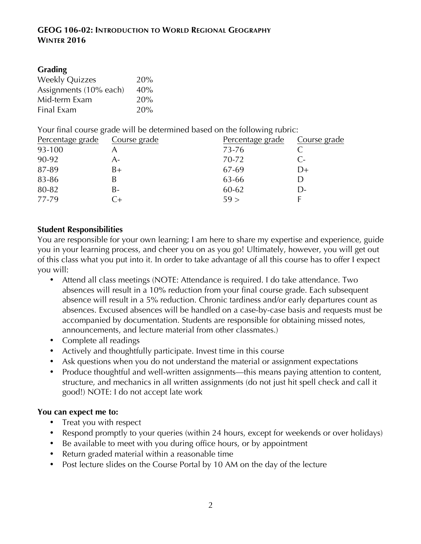### **GEOG 106-02: INTRODUCTION TO WORLD REGIONAL GEOGRAPHY WINTER 2016**

## **Grading**

| <b>Weekly Quizzes</b>  | 20% |
|------------------------|-----|
| Assignments (10% each) | 40% |
| Mid-term Exam          | 20% |
| Final Exam             | 20% |

Your final course grade will be determined based on the following rubric:

| Percentage grade | Course grade | Percentage grade | Course grade |
|------------------|--------------|------------------|--------------|
| 93-100           |              | 73-76            |              |
| 90-92            | A-           | 70-72            | $C-$         |
| 87-89            | B+           | 67-69            | D+           |
| 83-86            |              | 63-66            |              |
| 80-82            | B-           | 60-62            | l )-         |
| 77-79            |              | 59 >             |              |

## **Student Responsibilities**

You are responsible for your own learning; I am here to share my expertise and experience, guide you in your learning process, and cheer you on as you go! Ultimately, however, you will get out of this class what you put into it. In order to take advantage of all this course has to offer I expect you will:

- Attend all class meetings (NOTE: Attendance is required. I do take attendance. Two absences will result in a 10% reduction from your final course grade. Each subsequent absence will result in a 5% reduction. Chronic tardiness and/or early departures count as absences. Excused absences will be handled on a case-by-case basis and requests must be accompanied by documentation. Students are responsible for obtaining missed notes, announcements, and lecture material from other classmates.)
- Complete all readings
- Actively and thoughtfully participate. Invest time in this course
- Ask questions when you do not understand the material or assignment expectations
- Produce thoughtful and well-written assignments—this means paying attention to content, structure, and mechanics in all written assignments (do not just hit spell check and call it good!) NOTE: I do not accept late work

### **You can expect me to:**

- Treat you with respect
- Respond promptly to your queries (within 24 hours, except for weekends or over holidays)
- Be available to meet with you during office hours, or by appointment
- Return graded material within a reasonable time
- Post lecture slides on the Course Portal by 10 AM on the day of the lecture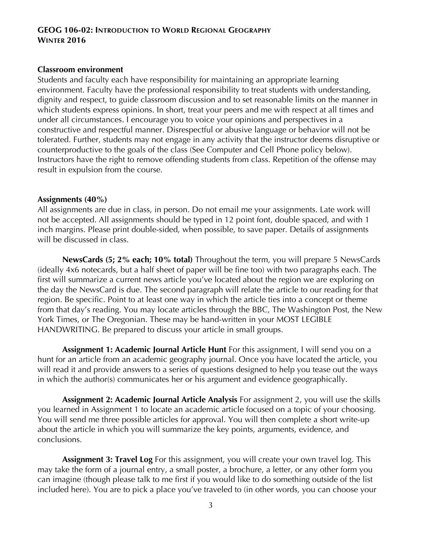### **GEOG 106-02: INTRODUCTION TO WORLD REGIONAL GEOGRAPHY WINTER 2016**

#### **Classroom environment**

Students and faculty each have responsibility for maintaining an appropriate learning environment. Faculty have the professional responsibility to treat students with understanding, dignity and respect, to guide classroom discussion and to set reasonable limits on the manner in which students express opinions. In short, treat your peers and me with respect at all times and under all circumstances. I encourage you to voice your opinions and perspectives in a constructive and respectful manner. Disrespectful or abusive language or behavior will not be tolerated. Further, students may not engage in any activity that the instructor deems disruptive or counterproductive to the goals of the class (See Computer and Cell Phone policy below). Instructors have the right to remove offending students from class. Repetition of the offense may result in expulsion from the course.

#### **Assignments (40%)**

All assignments are due in class, in person. Do not email me your assignments. Late work will not be accepted. All assignments should be typed in 12 point font, double spaced, and with 1 inch margins. Please print double-sided, when possible, to save paper. Details of assignments will be discussed in class.

**NewsCards (5; 2% each; 10% total)** Throughout the term, you will prepare 5 NewsCards (ideally 4x6 notecards, but a half sheet of paper will be fine too) with two paragraphs each. The first will summarize a current news article you've located about the region we are exploring on the day the NewsCard is due. The second paragraph will relate the article to our reading for that region. Be specific. Point to at least one way in which the article ties into a concept or theme from that day's reading. You may locate articles through the BBC, The Washington Post, the New York Times, or The Oregonian. These may be hand-written in your MOST LEGIBLE HANDWRITING. Be prepared to discuss your article in small groups.

**Assignment 1: Academic Journal Article Hunt** For this assignment, I will send you on a hunt for an article from an academic geography journal. Once you have located the article, you will read it and provide answers to a series of questions designed to help you tease out the ways in which the author(s) communicates her or his argument and evidence geographically.

**Assignment 2: Academic Journal Article Analysis** For assignment 2, you will use the skills you learned in Assignment 1 to locate an academic article focused on a topic of your choosing. You will send me three possible articles for approval. You will then complete a short write-up about the article in which you will summarize the key points, arguments, evidence, and conclusions.

**Assignment 3: Travel Log** For this assignment, you will create your own travel log. This may take the form of a journal entry, a small poster, a brochure, a letter, or any other form you can imagine (though please talk to me first if you would like to do something outside of the list included here). You are to pick a place you've traveled to (in other words, you can choose your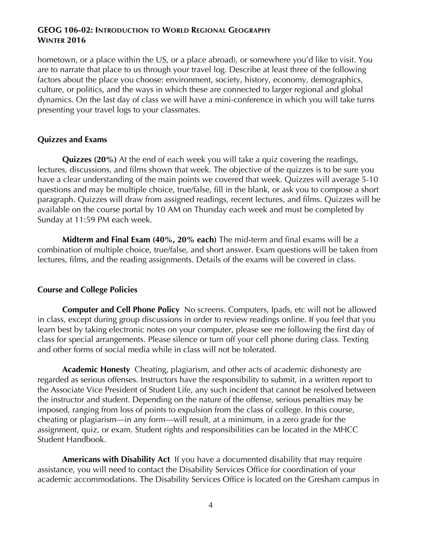### **GEOG 106-02: INTRODUCTION TO WORLD REGIONAL GEOGRAPHY WINTER 2016**

hometown, or a place within the US, or a place abroad), or somewhere you'd like to visit. You are to narrate that place to us through your travel log. Describe at least three of the following factors about the place you choose: environment, society, history, economy, demographics, culture, or politics, and the ways in which these are connected to larger regional and global dynamics. On the last day of class we will have a mini-conference in which you will take turns presenting your travel logs to your classmates.

### **Quizzes and Exams**

**Quizzes (20%)** At the end of each week you will take a quiz covering the readings, lectures, discussions, and films shown that week. The objective of the quizzes is to be sure you have a clear understanding of the main points we covered that week. Quizzes will average 5-10 questions and may be multiple choice, true/false, fill in the blank, or ask you to compose a short paragraph. Quizzes will draw from assigned readings, recent lectures, and films. Quizzes will be available on the course portal by 10 AM on Thursday each week and must be completed by Sunday at 11:59 PM each week.

**Midterm and Final Exam (40%, 20% each)** The mid-term and final exams will be a combination of multiple choice, true/false, and short answer. Exam questions will be taken from lectures, films, and the reading assignments. Details of the exams will be covered in class.

### **Course and College Policies**

**Computer and Cell Phone Policy** No screens. Computers, Ipads, etc will not be allowed in class, except during group discussions in order to review readings online. If you feel that you learn best by taking electronic notes on your computer, please see me following the first day of class for special arrangements. Please silence or turn off your cell phone during class. Texting and other forms of social media while in class will not be tolerated.

**Academic Honesty** Cheating, plagiarism, and other acts of academic dishonesty are regarded as serious offenses. Instructors have the responsibility to submit, in a written report to the Associate Vice President of Student Life, any such incident that cannot be resolved between the instructor and student. Depending on the nature of the offense, serious penalties may be imposed, ranging from loss of points to expulsion from the class of college. In this course, cheating or plagiarism—in any form—will result, at a minimum, in a zero grade for the assignment, quiz, or exam. Student rights and responsibilities can be located in the MHCC Student Handbook.

**Americans with Disability Act** If you have a documented disability that may require assistance, you will need to contact the Disability Services Office for coordination of your academic accommodations. The Disability Services Office is located on the Gresham campus in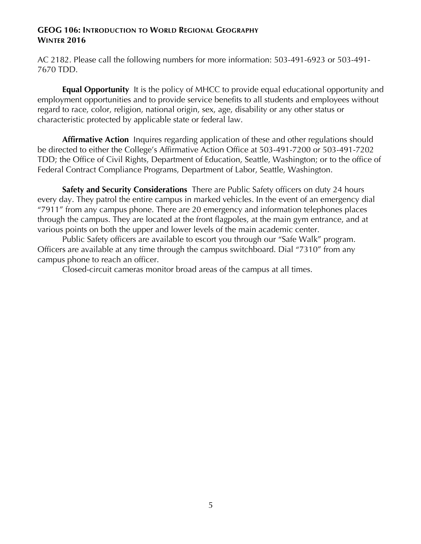#### **GEOG 106: INTRODUCTION TO WORLD REGIONAL GEOGRAPHY WINTER 2016**

AC 2182. Please call the following numbers for more information: 503-491-6923 or 503-491- 7670 TDD.

**Equal Opportunity** It is the policy of MHCC to provide equal educational opportunity and employment opportunities and to provide service benefits to all students and employees without regard to race, color, religion, national origin, sex, age, disability or any other status or characteristic protected by applicable state or federal law.

**Affirmative Action** Inquires regarding application of these and other regulations should be directed to either the College's Affirmative Action Office at 503-491-7200 or 503-491-7202 TDD; the Office of Civil Rights, Department of Education, Seattle, Washington; or to the office of Federal Contract Compliance Programs, Department of Labor, Seattle, Washington.

**Safety and Security Considerations** There are Public Safety officers on duty 24 hours every day. They patrol the entire campus in marked vehicles. In the event of an emergency dial "7911" from any campus phone. There are 20 emergency and information telephones places through the campus. They are located at the front flagpoles, at the main gym entrance, and at various points on both the upper and lower levels of the main academic center.

Public Safety officers are available to escort you through our "Safe Walk" program. Officers are available at any time through the campus switchboard. Dial "7310" from any campus phone to reach an officer.

Closed-circuit cameras monitor broad areas of the campus at all times.